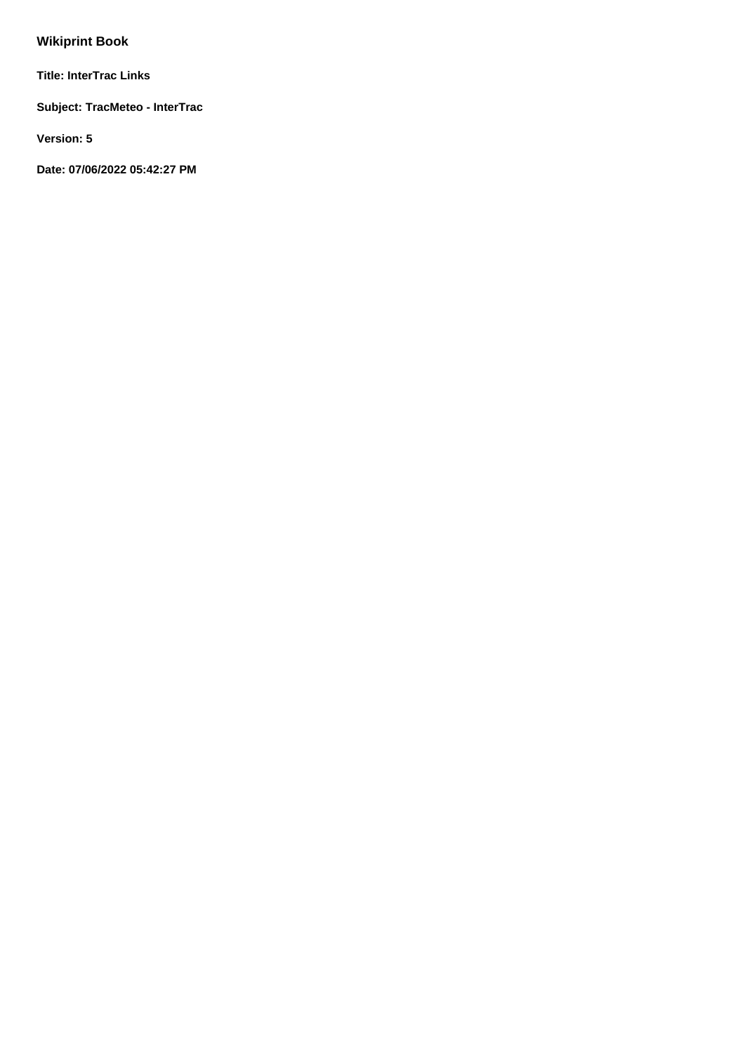# **Wikiprint Book**

**Title: InterTrac Links**

**Subject: TracMeteo - InterTrac**

**Version: 5**

**Date: 07/06/2022 05:42:27 PM**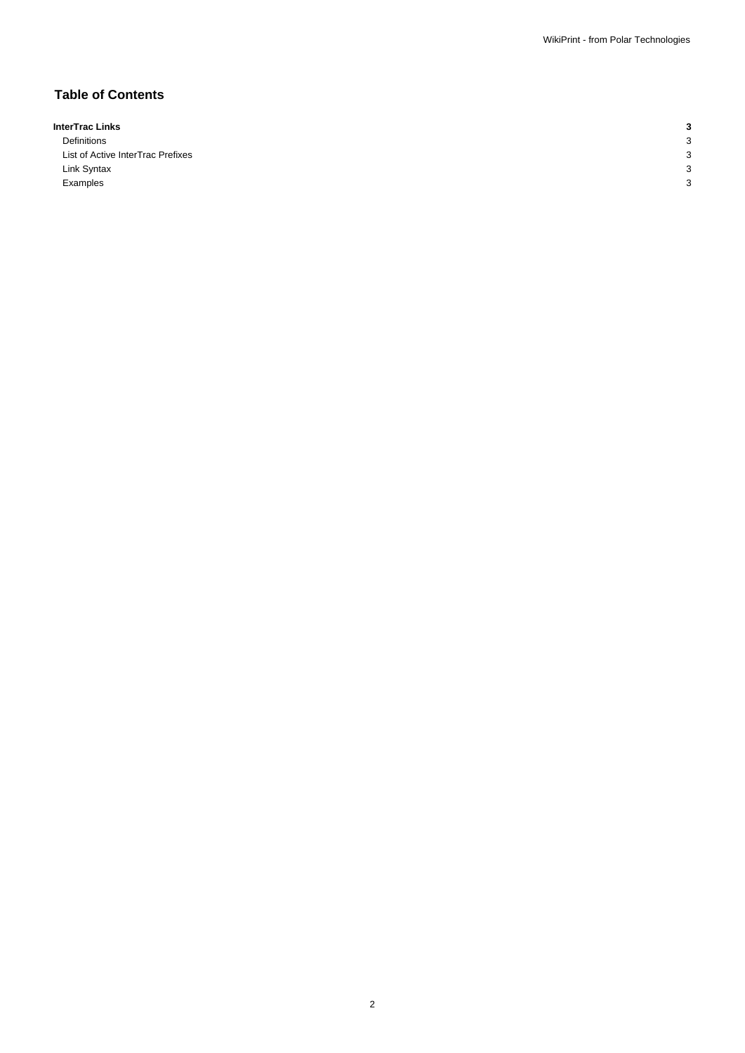## **Table of Contents**

| InterTrac Links                   |            |
|-----------------------------------|------------|
| Definitions                       | $\epsilon$ |
| List of Active InterTrac Prefixes | $\epsilon$ |
| Link Syntax                       | $\epsilon$ |
| Examples                          |            |

2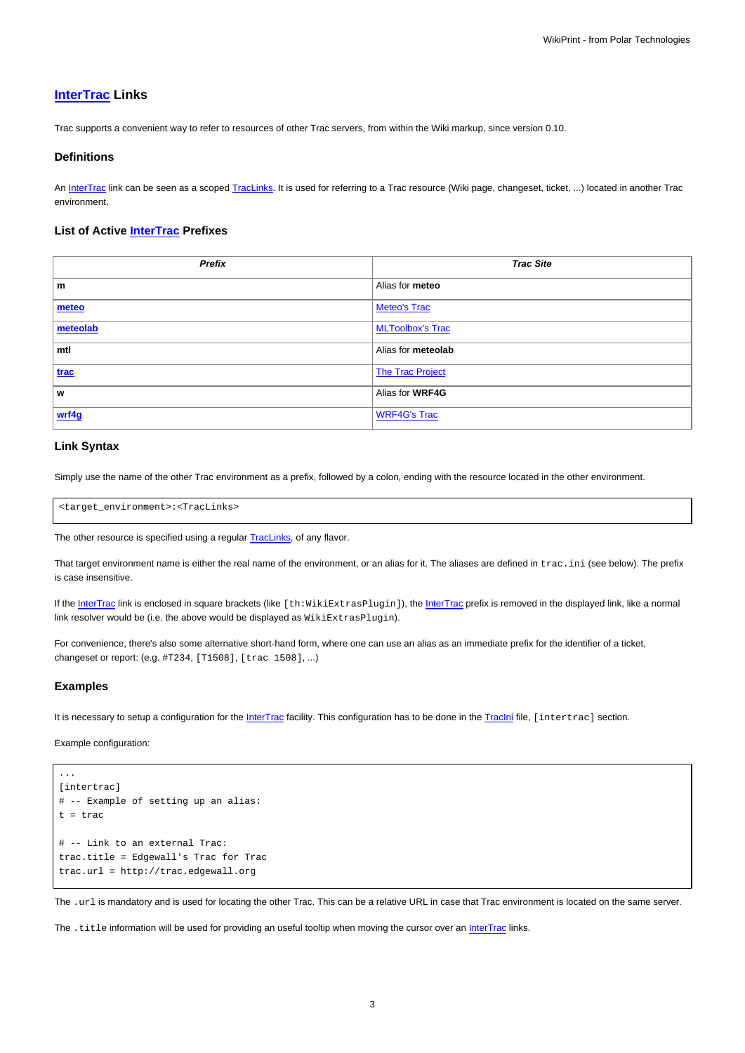### **[InterTrac](https://meteo.unican.es/trac/wiki/InterTrac) Links**

Trac supports a convenient way to refer to resources of other Trac servers, from within the Wiki markup, since version 0.10.

#### **Definitions**

An [InterTrac](https://meteo.unican.es/trac/wiki/InterTrac) link can be seen as a scoped [TracLinks](https://meteo.unican.es/trac/wiki/TracLinks). It is used for referring to a Trac resource (Wiki page, changeset, ticket, ...) located in another Trac environment.

#### **List of Active [InterTrac](https://meteo.unican.es/trac/wiki/InterTrac) Prefixes**

| Prefix   | <b>Trac Site</b>        |
|----------|-------------------------|
| m        | Alias for meteo         |
| meteo    | <b>Meteo's Trac</b>     |
| meteolab | <b>MLToolbox's Trac</b> |
| mtl      | Alias for meteolab      |
| trac     | <b>The Trac Project</b> |
| W        | Alias for WRF4G         |
| wrf4g    | <b>WRF4G's Trac</b>     |

#### **Link Syntax**

Simply use the name of the other Trac environment as a prefix, followed by a colon, ending with the resource located in the other environment.

<target\_environment>:<TracLinks>

The other resource is specified using a regular [TracLinks](https://meteo.unican.es/trac/wiki/TracLinks), of any flavor.

That target environment name is either the real name of the environment, or an alias for it. The aliases are defined in trac.ini (see below). The prefix is case insensitive.

If the [InterTrac](https://meteo.unican.es/trac/wiki/InterTrac) link is enclosed in square brackets (like [th:WikiExtrasPlugin]), the InterTrac prefix is removed in the displayed link, like a normal link resolver would be (i.e. the above would be displayed as  $WikikkrasPlugin$ ).

For convenience, there's also some alternative short-hand form, where one can use an alias as an immediate prefix for the identifier of a ticket, changeset or report: (e.g. #T234, [T1508], [trac 1508], ...)

#### **Examples**

...

It is necessary to setup a configuration for the [InterTrac](https://meteo.unican.es/trac/wiki/InterTrac) facility. This configuration has to be done in the [TracIni](https://meteo.unican.es/trac/wiki/TracIni) file, [intertrac] section.

Example configuration:

```
[intertrac]
# -- Example of setting up an alias:
t = trac
# -- Link to an external Trac:
trac.title = Edgewall's Trac for Trac
trac.url = http://trac.edgewall.org
```
The .url is mandatory and is used for locating the other Trac. This can be a relative URL in case that Trac environment is located on the same server.

The . title information will be used for providing an useful tooltip when moving the cursor over an [InterTrac](https://meteo.unican.es/trac/wiki/InterTrac) links.